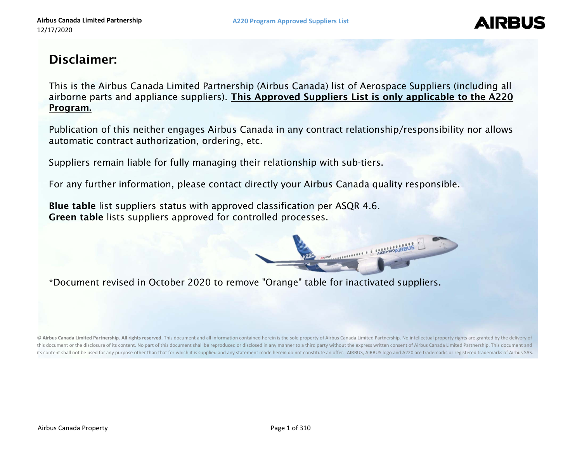## **AIRBU**

### Disclaimer:

This is the Airbus Canada Limited Partnership (Airbus Canada) list of Aerospace Suppliers (including all airborne parts and appliance suppliers). This Approved Suppliers List is only applicable to the A220 Program.

Publication of this neither engages Airbus Canada in any contract relationship/responsibility nor allows automatic contract authorization, ordering, etc.

Suppliers remain liable for fully managing their relationship with sub-tiers.

For any further information, please contact directly your Airbus Canada quality responsible.

Blue table list suppliers status with approved classification per ASQR 4.6. Green table lists suppliers approved for controlled processes.



\*Document revised in October 2020 to remove "Orange" table for inactivated suppliers.

© Airbus Canada Limited Partnership. All rights reserved. This document and all information contained herein is the sole property of Airbus Canada Limited Partnership. No intellectual property rights are granted by the del this document or the disclosure of its content. No part of this document shall be reproduced or disclosed in any manner to a third party without the express written consent of Airbus Canada Limited Partnership. This docume its content shall not be used for any purpose other than that for which it is supplied and any statement made herein do not constitute an offer. AIRBUS, AIRBUS logo and A220 are trademarks or registered trademarks of Airbu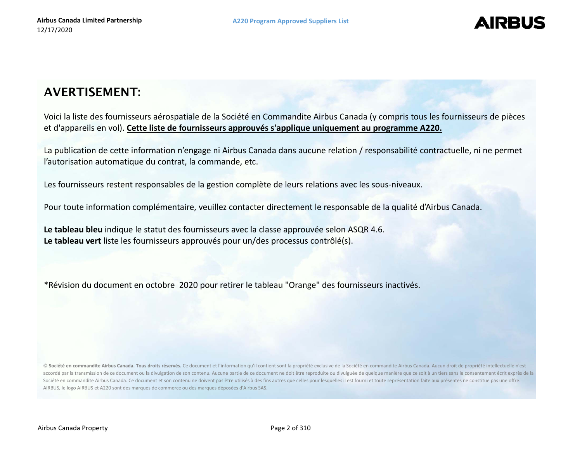## **AIRBU**

## AVERTISEMENT:

Voici la liste des fournisseurs aérospatiale de la Société en Commandite Airbus Canada (y compris tous les fournisseurs de pièces et d'appareils en vol). **Cette liste de fournisseurs approuvés <sup>s</sup>'applique uniquement au programme A220.**

La publication de cette information <sup>n</sup>'engage ni Airbus Canada dans aucune relation / responsabilité contractuelle, ni ne permet l'autorisation automatique du contrat, la commande, etc.

Les fournisseurs restent responsables de la gestion complète de leurs relations avec les sous‐niveaux.

Pour toute information complémentaire, veuillez contacter directement le responsable de la qualité d'Airbus Canada.

**Le tableau bleu** indique le statut des fournisseurs avec la classe approuvée selon ASQR 4.6. **Le tableau vert** liste les fournisseurs approuvés pour un/des processus contrôlé(s).

\*Révision du document en octobre 2020 pour retirer le tableau "Orange" des fournisseurs inactivés.

© Société en commandite Airbus Canada. Tous droits réservés. Ce document et l'information qu'il contient sont la propriété exclusive de la Société en commandite Airbus Canada. Aucun droit de propriété intellectuelle n'est accordé par la transmission de ce document ou la divulgation de son contenu. Aucune partie de ce document ne doit être reproduite ou divulguée de quelque manière que ce soit à un tiers sans le consentement écrit exprès de Société en commandite Airbus Canada. Ce document et son contenu ne doivent pas être utilisés à des fins autres que celles pour lesquelles il est fourni et toute représentation faite aux présentes ne constitue pas une offre. AIRBUS, le logo AIRBUS et A220 sont des marques de commerce ou des marques déposées d'Airbus SAS.